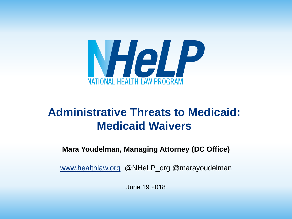

#### **Administrative Threats to Medicaid: Medicaid Waivers**

**Mara Youdelman, Managing Attorney (DC Office)**

[www.healthlaw.org](http://www.healthlaw.org/) @NHeLP\_org @marayoudelman

June 19 2018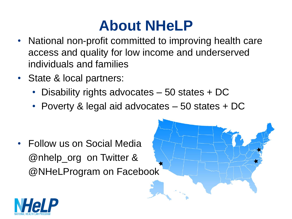#### **About NHeLP**

- National non-profit committed to improving health care access and quality for low income and underserved individuals and families
- State & local partners:
	- Disability rights advocates 50 states + DC
	- Poverty & legal aid advocates 50 states + DC

• Follow us on Social Media @nhelp\_org on Twitter & @NHeLProgram on Facebook

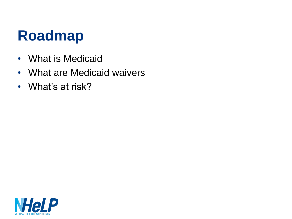#### **Roadmap**

- What is Medicaid
- What are Medicaid waivers
- What's at risk?

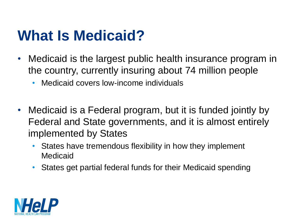#### **What Is Medicaid?**

- Medicaid is the largest public health insurance program in the country, currently insuring about 74 million people
	- Medicaid covers low-income individuals
- Medicaid is a Federal program, but it is funded jointly by Federal and State governments, and it is almost entirely implemented by States
	- States have tremendous flexibility in how they implement Medicaid
	- States get partial federal funds for their Medicaid spending

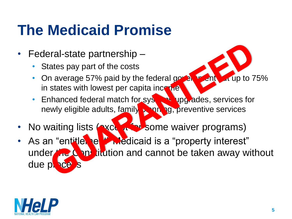### **The Medicaid Promise**

- Federal-state partnership
	- States pay part of the costs
	- On average 57% paid by the federal government but up to  $75%$ in states with lowest per capita income
	- Enhanced federal match for systems upgrades, services for newly eligible adults, family planning, preventive services
- No waiting lists (except for some waiver programs)
- As an "entitlement" Medicaid is a "property interest" under the Constitution and cannot be taken away without due plac

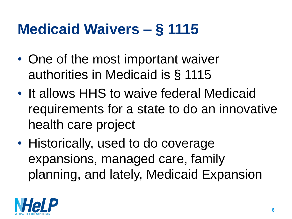#### **Medicaid Waivers – § 1115**

- One of the most important waiver authorities in Medicaid is § 1115
- It allows HHS to waive federal Medicaid requirements for a state to do an innovative health care project
- Historically, used to do coverage expansions, managed care, family planning, and lately, Medicaid Expansion

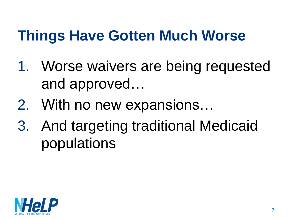#### **Things Have Gotten Much Worse**

- 1. Worse waivers are being requested and approved…
- 2. With no new expansions…
- 3. And targeting traditional Medicaid populations

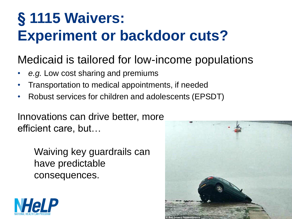#### **§ 1115 Waivers: Experiment or backdoor cuts?**

#### Medicaid is tailored for low-income populations

- *e.g.* Low cost sharing and premiums
- Transportation to medical appointments, if needed
- Robust services for children and adolescents (EPSDT)

Innovations can drive better, more efficient care, but…

> Waiving key guardrails can have predictable consequences.



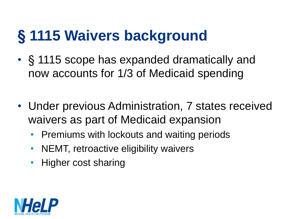# **§ 1115 Waivers background**

- § 1115 scope has expanded dramatically and now accounts for 1/3 of Medicaid spending
- Under previous Administration, 7 states received waivers as part of Medicaid expansion
	- Premiums with lockouts and waiting periods
	- NEMT, retroactive eligibility waivers
	- Higher cost sharing

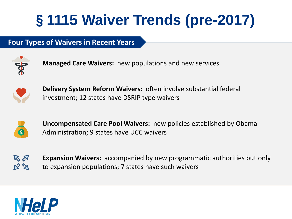# §**1115 Waiver Trends (pre-2017)**

#### **Four Types of Waivers in Recent Years**



**Managed Care Waivers:** new populations and new services



**Delivery System Reform Waivers:** often involve substantial federal investment; 12 states have DSRIP type waivers



**Uncompensated Care Pool Waivers:** new policies established by Obama Administration; 9 states have UCC waivers



**Expansion Waivers:** accompanied by new programmatic authorities but only to expansion populations; 7 states have such waivers

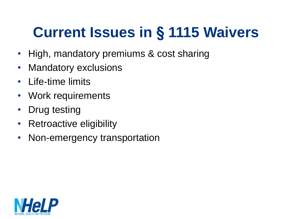# **Current Issues in § 1115 Waivers**

- High, mandatory premiums & cost sharing
- Mandatory exclusions
- Life-time limits
- Work requirements
- Drug testing
- Retroactive eligibility
- Non-emergency transportation

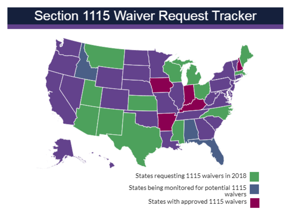#### Section 1115 Waiver Request Tracker



States requesting 1115 waivers in 2018

States being monitored for potential 1115 waivers States with approved 1115 waivers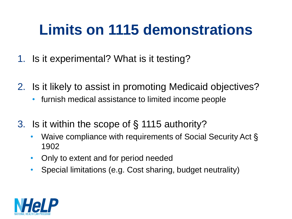## **Limits on 1115 demonstrations**

- 1. Is it experimental? What is it testing?
- 2. Is it likely to assist in promoting Medicaid objectives?
	- furnish medical assistance to limited income people
- 3. Is it within the scope of § 1115 authority?
	- Waive compliance with requirements of Social Security Act § 1902
	- Only to extent and for period needed
	- Special limitations (e.g. Cost sharing, budget neutrality)

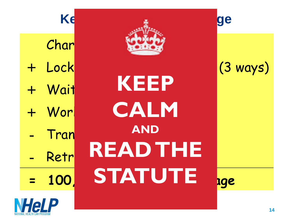| Ke      |                 | ge                 |
|---------|-----------------|--------------------|
| Char    |                 |                    |
| + Lock  |                 | $(3 \text{ ways})$ |
| + Wait  | <b>KEEP</b>     |                    |
| + Wor   | CALM            |                    |
| Tran    | <b>AND</b>      |                    |
| Retr    | <b>READ THE</b> |                    |
| $= 100$ | STATUTE         | uge                |
|         |                 |                    |

**NHeLP**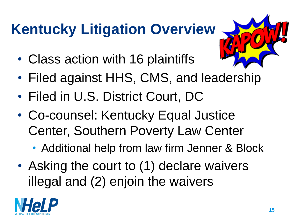# **Kentucky Litigation Overview**

- Class action with 16 plaintiffs
- Filed against HHS, CMS, and leadership
- Filed in U.S. District Court, DC
- Co-counsel: Kentucky Equal Justice Center, Southern Poverty Law Center
	- Additional help from law firm Jenner & Block
- Asking the court to (1) declare waivers illegal and (2) enjoin the waivers

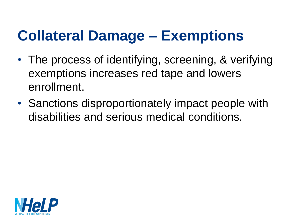#### **Collateral Damage – Exemptions**

- The process of identifying, screening, & verifying exemptions increases red tape and lowers enrollment.
- Sanctions disproportionately impact people with disabilities and serious medical conditions.

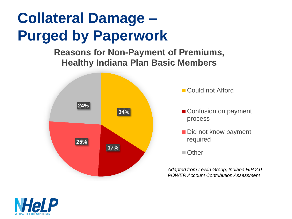### **Collateral Damage – Purged by Paperwork**

**Reasons for Non-Payment of Premiums, Healthy Indiana Plan Basic Members**



■ Could not Afford

- Confusion on payment process
- Did not know payment required

■ Other

*Adapted from Lewin Group, Indiana HIP 2.0 POWER Account Contribution Assessment*

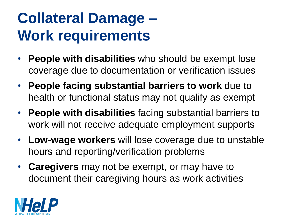## **Collateral Damage – Work requirements**

- **People with disabilities** who should be exempt lose coverage due to documentation or verification issues
- **People facing substantial barriers to work** due to health or functional status may not qualify as exempt
- **People with disabilities** facing substantial barriers to work will not receive adequate employment supports
- **Low-wage workers** will lose coverage due to unstable hours and reporting/verification problems
- **Caregivers** may not be exempt, or may have to document their caregiving hours as work activities

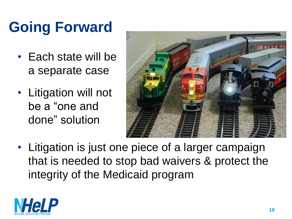# **Going Forward**

- Each state will be a separate case
- Litigation will not be a "one and done" solution



• Litigation is just one piece of a larger campaign that is needed to stop bad waivers & protect the integrity of the Medicaid program

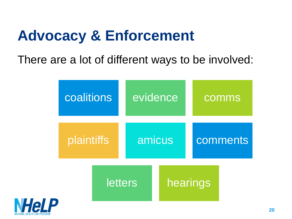### **Advocacy & Enforcement**

There are a lot of different ways to be involved:



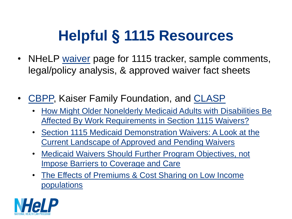# **Helpful § 1115 Resources**

- NHeLP [waiver](http://www.healthlaw.org/issues/medicaid/waivers) page for 1115 tracker, sample comments, legal/policy analysis, & approved waiver fact sheets
- [CBPP,](http://www.cbpp.org/) Kaiser Family Foundation, and [CLASP](https://www.clasp.org/publications/presentation/webinar/work-requirements-dont-workhttp:/www.clasp.org/)
	- [How Might Older Nonelderly Medicaid Adults with Disabilities Be](https://www.kff.org/medicaid/issue-brief/how-might-older-nonelderly-medicaid-adults-with-disabilities-be-affected-by-work-requirements-in-section-1115-waivers/)  Affected By Work Requirements in Section 1115 Waivers?
	- [Section 1115 Medicaid Demonstration Waivers: A Look at the](http://www.kff.org/medicaid/issue-brief/section-1115-medicaid-demonstration-waivers-a-look-at-the-current-landscape-of-approved-and-pending-waivers/?utm_campaign=KFF-2017-September-Medicaid-Waivers&utm_medium=email&_hsenc=p2ANqtz-_HwDdPppysBpTfiF2) Current Landscape of Approved and Pending Waivers
	- [Medicaid Waivers Should Further Program Objectives, not](https://www.cbpp.org/research/health/medicaid-waivers-should-further-program-objectives-not-impose-barriers-to-coverage)  Impose Barriers to Coverage and Care
	- [The Effects of Premiums & Cost Sharing on Low Income](https://www.kff.org/medicaid/issue-brief/the-effects-of-premiums-and-cost-sharing-on-low-income-populations-updated-review-of-research-findings/) populations